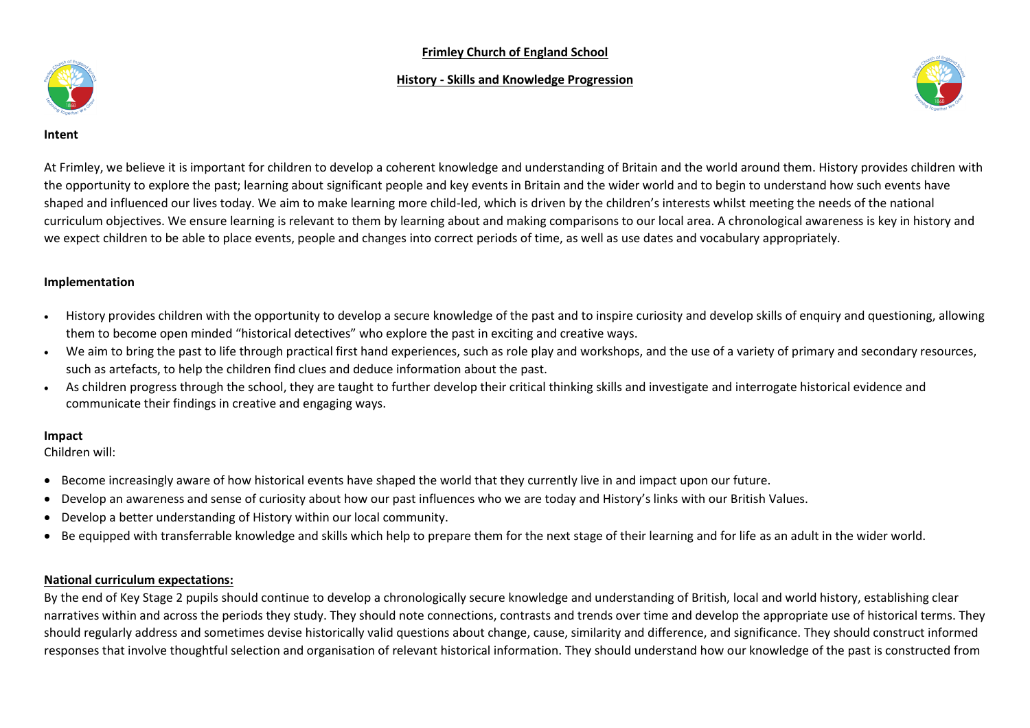# **Frimley Church of England School**

## **History - Skills and Knowledge Progression**





**Intent**

At Frimley, we believe it is important for children to develop a coherent knowledge and understanding of Britain and the world around them. History provides children with the opportunity to explore the past; learning about significant people and key events in Britain and the wider world and to begin to understand how such events have shaped and influenced our lives today. We aim to make learning more child-led, which is driven by the children's interests whilst meeting the needs of the national curriculum objectives. We ensure learning is relevant to them by learning about and making comparisons to our local area. A chronological awareness is key in history and we expect children to be able to place events, people and changes into correct periods of time, as well as use dates and vocabulary appropriately.

## **Implementation**

- History provides children with the opportunity to develop a secure knowledge of the past and to inspire curiosity and develop skills of enquiry and questioning, allowing them to become open minded "historical detectives" who explore the past in exciting and creative ways.
- We aim to bring the past to life through practical first hand experiences, such as role play and workshops, and the use of a variety of primary and secondary resources, such as artefacts, to help the children find clues and deduce information about the past.
- As children progress through the school, they are taught to further develop their critical thinking skills and investigate and interrogate historical evidence and communicate their findings in creative and engaging ways.

## **Impact**

Children will:

- Become increasingly aware of how historical events have shaped the world that they currently live in and impact upon our future.
- Develop an awareness and sense of curiosity about how our past influences who we are today and History's links with our British Values.
- Develop a better understanding of History within our local community.
- Be equipped with transferrable knowledge and skills which help to prepare them for the next stage of their learning and for life as an adult in the wider world.

# **National curriculum expectations:**

By the end of Key Stage 2 pupils should continue to develop a chronologically secure knowledge and understanding of British, local and world history, establishing clear narratives within and across the periods they study. They should note connections, contrasts and trends over time and develop the appropriate use of historical terms. They should regularly address and sometimes devise historically valid questions about change, cause, similarity and difference, and significance. They should construct informed responses that involve thoughtful selection and organisation of relevant historical information. They should understand how our knowledge of the past is constructed from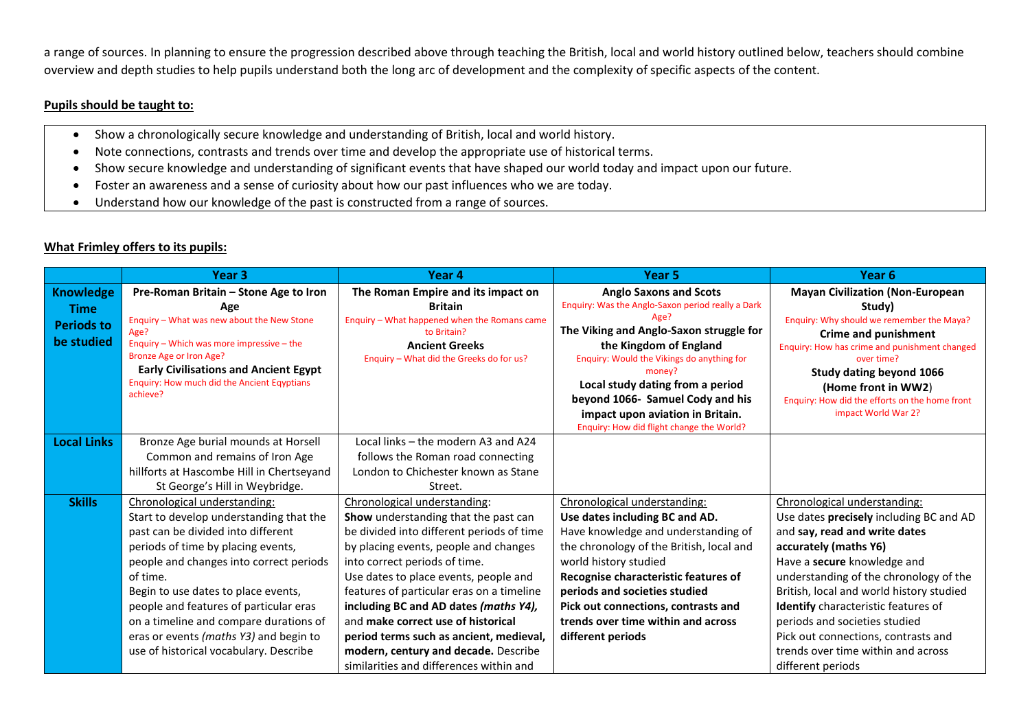a range of sources. In planning to ensure the progression described above through teaching the British, local and world history outlined below, teachers should combine overview and depth studies to help pupils understand both the long arc of development and the complexity of specific aspects of the content.

## **Pupils should be taught to:**

- Show a chronologically secure knowledge and understanding of British, local and world history.
- Note connections, contrasts and trends over time and develop the appropriate use of historical terms.
- Show secure knowledge and understanding of significant events that have shaped our world today and impact upon our future.
- Foster an awareness and a sense of curiosity about how our past influences who we are today.
- Understand how our knowledge of the past is constructed from a range of sources.

# **What Frimley offers to its pupils:**

|                    | Year <sub>3</sub>                                 | Year 4                                       | Year 5                                                               | Year 6                                                      |
|--------------------|---------------------------------------------------|----------------------------------------------|----------------------------------------------------------------------|-------------------------------------------------------------|
| Knowledge          | Pre-Roman Britain – Stone Age to Iron             | The Roman Empire and its impact on           | <b>Anglo Saxons and Scots</b>                                        | <b>Mayan Civilization (Non-European</b>                     |
| <b>Time</b>        | Age                                               | <b>Britain</b>                               | Enquiry: Was the Anglo-Saxon period really a Dark                    | Study)                                                      |
| <b>Periods to</b>  | Enquiry - What was new about the New Stone        | Enquiry - What happened when the Romans came | Age?                                                                 | Enquiry: Why should we remember the Maya?                   |
| be studied         | Age?<br>Enquiry - Which was more impressive - the | to Britain?<br><b>Ancient Greeks</b>         | The Viking and Anglo-Saxon struggle for                              | <b>Crime and punishment</b>                                 |
|                    | <b>Bronze Age or Iron Age?</b>                    | Enquiry - What did the Greeks do for us?     | the Kingdom of England<br>Enquiry: Would the Vikings do anything for | Enquiry: How has crime and punishment changed<br>over time? |
|                    | <b>Early Civilisations and Ancient Egypt</b>      |                                              | money?                                                               | <b>Study dating beyond 1066</b>                             |
|                    | Enquiry: How much did the Ancient Eqyptians       |                                              | Local study dating from a period                                     | (Home front in WW2)                                         |
|                    | achieve?                                          |                                              | beyond 1066- Samuel Cody and his                                     | Enquiry: How did the efforts on the home front              |
|                    |                                                   |                                              | impact upon aviation in Britain.                                     | impact World War 2?                                         |
|                    |                                                   |                                              | Enquiry: How did flight change the World?                            |                                                             |
| <b>Local Links</b> | Bronze Age burial mounds at Horsell               | Local links - the modern A3 and A24          |                                                                      |                                                             |
|                    | Common and remains of Iron Age                    | follows the Roman road connecting            |                                                                      |                                                             |
|                    | hillforts at Hascombe Hill in Chertseyand         | London to Chichester known as Stane          |                                                                      |                                                             |
|                    | St George's Hill in Weybridge.                    | Street.                                      |                                                                      |                                                             |
| <b>Skills</b>      | Chronological understanding:                      | Chronological understanding:                 | Chronological understanding:                                         | Chronological understanding:                                |
|                    | Start to develop understanding that the           | Show understanding that the past can         | Use dates including BC and AD.                                       | Use dates precisely including BC and AD                     |
|                    | past can be divided into different                | be divided into different periods of time    | Have knowledge and understanding of                                  | and say, read and write dates                               |
|                    | periods of time by placing events,                | by placing events, people and changes        | the chronology of the British, local and                             | accurately (maths Y6)                                       |
|                    | people and changes into correct periods           | into correct periods of time.                | world history studied                                                | Have a secure knowledge and                                 |
|                    | of time.                                          | Use dates to place events, people and        | Recognise characteristic features of                                 | understanding of the chronology of the                      |
|                    | Begin to use dates to place events,               | features of particular eras on a timeline    | periods and societies studied                                        | British, local and world history studied                    |
|                    | people and features of particular eras            | including BC and AD dates (maths Y4),        | Pick out connections, contrasts and                                  | <b>Identify</b> characteristic features of                  |
|                    | on a timeline and compare durations of            | and make correct use of historical           | trends over time within and across                                   | periods and societies studied                               |
|                    | eras or events (maths Y3) and begin to            | period terms such as ancient, medieval,      | different periods                                                    | Pick out connections, contrasts and                         |
|                    | use of historical vocabulary. Describe            | modern, century and decade. Describe         |                                                                      | trends over time within and across                          |
|                    |                                                   | similarities and differences within and      |                                                                      | different periods                                           |